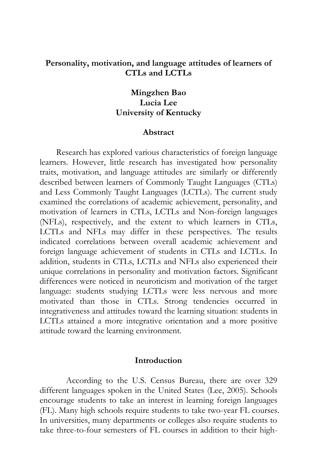### **Personality, motivation, and language attitudes of learners of CTLs and LCTLs**

## **Mingzhen Bao Lucia Lee University of Kentucky**

### **Abstract**

 Research has explored various characteristics of foreign language learners. However, little research has investigated how personality traits, motivation, and language attitudes are similarly or differently described between learners of Commonly Taught Languages (CTLs) and Less Commonly Taught Languages (LCTLs). The current study examined the correlations of academic achievement, personality, and motivation of learners in CTLs, LCTLs and Non-foreign languages (NFLs), respectively, and the extent to which learners in CTLs, LCTLs and NFLs may differ in these perspectives. The results indicated correlations between overall academic achievement and foreign language achievement of students in CTLs and LCTLs. In addition, students in CTLs, LCTLs and NFLs also experienced their unique correlations in personality and motivation factors. Significant differences were noticed in neuroticism and motivation of the target language: students studying LCTLs were less nervous and more motivated than those in CTLs. Strong tendencies occurred in integrativeness and attitudes toward the learning situation: students in LCTLs attained a more integrative orientation and a more positive attitude toward the learning environment.

#### **Introduction**

According to the U.S. Census Bureau, there are over 329 different languages spoken in the United States (Lee, 2005). Schools encourage students to take an interest in learning foreign languages (FL). Many high schools require students to take two-year FL courses. In universities, many departments or colleges also require students to take three-to-four semesters of FL courses in addition to their high-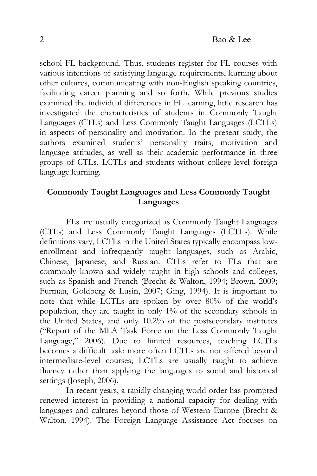school FL background. Thus, students register for FL courses with various intentions of satisfying language requirements, learning about other cultures, communicating with non-English speaking countries, facilitating career planning and so forth. While previous studies examined the individual differences in FL learning, little research has investigated the characteristics of students in Commonly Taught Languages (CTLs) and Less Commonly Taught Languages (LCTLs) in aspects of personality and motivation. In the present study, the authors examined students' personality traits, motivation and language attitudes, as well as their academic performance in three groups of CTLs, LCTLs and students without college-level foreign language learning.

# **Commonly Taught Languages and Less Commonly Taught Languages**

FLs are usually categorized as Commonly Taught Languages (CTLs) and Less Commonly Taught Languages (LCTLs). While definitions vary, LCTLs in the United States typically encompass lowenrollment and infrequently taught languages, such as Arabic, Chinese, Japanese, and Russian. CTLs refer to FLs that are commonly known and widely taught in high schools and colleges, such as Spanish and French (Brecht & Walton, 1994; Brown, 2009; Furman, Goldberg & Lusin, 2007; Ging, 1994). It is important to note that while LCTLs are spoken by over 80% of the world's population, they are taught in only 1% of the secondary schools in the United States, and only 10.2% of the postsecondary institutes ("Report of the MLA Task Force on the Less Commonly Taught Language," 2006). Due to limited resources, teaching LCTLs becomes a difficult task: more often LCTLs are not offered beyond intermediate-level courses; LCTLs are usually taught to achieve fluency rather than applying the languages to social and historical settings (Joseph, 2006).

In recent years, a rapidly changing world order has prompted renewed interest in providing a national capacity for dealing with languages and cultures beyond those of Western Europe (Brecht & Walton, 1994). The Foreign Language Assistance Act focuses on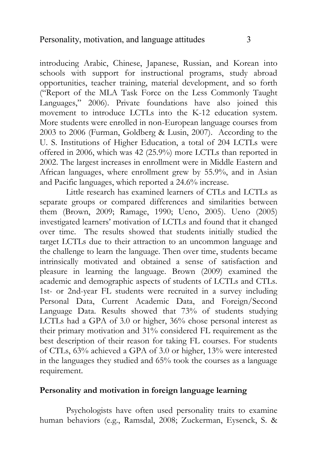introducing Arabic, Chinese, Japanese, Russian, and Korean into schools with support for instructional programs, study abroad opportunities, teacher training, material development, and so forth ("Report of the MLA Task Force on the Less Commonly Taught Languages," 2006). Private foundations have also joined this movement to introduce LCTLs into the K-12 education system. More students were enrolled in non-European language courses from 2003 to 2006 (Furman, Goldberg & Lusin, 2007). According to the U. S. Institutions of Higher Education, a total of 204 LCTLs were offered in 2006, which was 42 (25.9%) more LCTLs than reported in 2002. The largest increases in enrollment were in Middle Eastern and African languages, where enrollment grew by 55.9%, and in Asian and Pacific languages, which reported a 24.6% increase.

Little research has examined learners of CTLs and LCTLs as separate groups or compared differences and similarities between them (Brown, 2009; Ramage, 1990; Ueno, 2005). Ueno (2005) investigated learners' motivation of LCTLs and found that it changed over time. The results showed that students initially studied the target LCTLs due to their attraction to an uncommon language and the challenge to learn the language. Then over time, students became intrinsically motivated and obtained a sense of satisfaction and pleasure in learning the language. Brown (2009) examined the academic and demographic aspects of students of LCTLs and CTLs. 1st- or 2nd-year FL students were recruited in a survey including Personal Data, Current Academic Data, and Foreign/Second Language Data. Results showed that 73% of students studying LCTLs had a GPA of 3.0 or higher, 36% chose personal interest as their primary motivation and 31% considered FL requirement as the best description of their reason for taking FL courses. For students of CTLs, 63% achieved a GPA of 3.0 or higher, 13% were interested in the languages they studied and 65% took the courses as a language requirement.

### **Personality and motivation in foreign language learning**

Psychologists have often used personality traits to examine human behaviors (e.g., Ramsdal, 2008; Zuckerman, Eysenck, S. &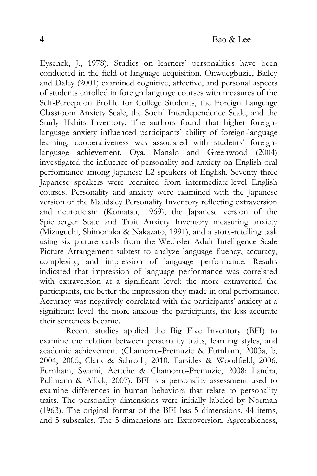Eysenck, J., 1978). Studies on learners' personalities have been conducted in the field of language acquisition. Onwuegbuzie, Bailey and Daley (2001) examined cognitive, affective, and personal aspects of students enrolled in foreign language courses with measures of the Self-Perception Profile for College Students, the Foreign Language Classroom Anxiety Scale, the Social Interdependence Scale, and the Study Habits Inventory. The authors found that higher foreignlanguage anxiety influenced participants' ability of foreign-language learning; cooperativeness was associated with students' foreignlanguage achievement. Oya, Manalo and Greenwood (2004) investigated the influence of personality and anxiety on English oral performance among Japanese L2 speakers of English. Seventy-three Japanese speakers were recruited from intermediate-level English courses. Personality and anxiety were examined with the Japanese version of the Maudsley Personality Inventory reflecting extraversion and neuroticism (Komatsu, 1969), the Japanese version of the Spielberger State and Trait Anxiety Inventory measuring anxiety (Mizuguchi, Shimonaka & Nakazato, 1991), and a story-retelling task using six picture cards from the Wechsler Adult Intelligence Scale Picture Arrangement subtest to analyze language fluency, accuracy, complexity, and impression of language performance. Results indicated that impression of language performance was correlated with extraversion at a significant level: the more extraverted the participants, the better the impression they made in oral performance. Accuracy was negatively correlated with the participants' anxiety at a significant level: the more anxious the participants, the less accurate their sentences became.

Recent studies applied the Big Five Inventory (BFI) to examine the relation between personality traits, learning styles, and academic achievement (Chamorro-Premuzic & Furnham, 2003a, b, 2004, 2005; Clark & Schroth, 2010; Farsides & Woodfield, 2006; Furnham, Swami, Aertche & Chamorro-Premuzic, 2008; Landra, Pullmann & Allick, 2007). BFI is a personality assessment used to examine differences in human behaviors that relate to personality traits. The personality dimensions were initially labeled by Norman (1963). The original format of the BFI has 5 dimensions, 44 items, and 5 subscales. The 5 dimensions are Extroversion, Agreeableness,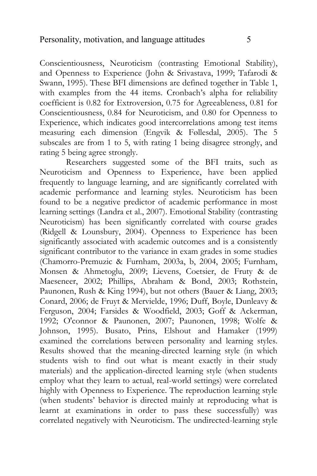Conscientiousness, Neuroticism (contrasting Emotional Stability), and Openness to Experience (John & Srivastava, 1999; Tafarodi & Swann, 1995). These BFI dimensions are defined together in Table 1, with examples from the 44 items. Cronbach's alpha for reliability coefficient is 0.82 for Extroversion, 0.75 for Agreeableness, 0.81 for Conscientiousness, 0.84 for Neuroticism, and 0.80 for Openness to Experience, which indicates good intercorrelations among test items measuring each dimension (Engvik & Føllesdal, 2005). The 5 subscales are from 1 to 5, with rating 1 being disagree strongly, and rating 5 being agree strongly.

Researchers suggested some of the BFI traits, such as Neuroticism and Openness to Experience, have been applied frequently to language learning, and are significantly correlated with academic performance and learning styles. Neuroticism has been found to be a negative predictor of academic performance in most learning settings (Landra et al., 2007). Emotional Stability (contrasting Neuroticism) has been significantly correlated with course grades (Ridgell & Lounsbury, 2004). Openness to Experience has been significantly associated with academic outcomes and is a consistently significant contributor to the variance in exam grades in some studies (Chamorro-Premuzic & Furnham, 2003a, b, 2004, 2005; Furnham, Monsen & Ahmetoglu, 2009; Lievens, Coetsier, de Fruty & de Maeseneer, 2002; Phillips, Abraham & Bond, 2003; Rothstein, Paunonen, Rush & King 1994), but not others (Bauer & Liang, 2003; Conard, 2006; de Fruyt & Mervielde, 1996; Duff, Boyle, Dunleavy & Ferguson, 2004; Farsides & Woodfield, 2003; Goff & Ackerman, 1992; O'connor & Paunonen, 2007; Paunonen, 1998; Wolfe & Johnson, 1995). Busato, Prins, Elshout and Hamaker (1999) examined the correlations between personality and learning styles. Results showed that the meaning-directed learning style (in which students wish to find out what is meant exactly in their study materials) and the application-directed learning style (when students employ what they learn to actual, real-world settings) were correlated highly with Openness to Experience. The reproduction learning style (when students' behavior is directed mainly at reproducing what is learnt at examinations in order to pass these successfully) was correlated negatively with Neuroticism. The undirected-learning style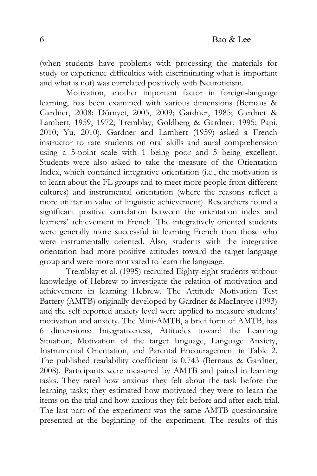(when students have problems with processing the materials for study or experience difficulties with discriminating what is important and what is not) was correlated positively with Neuroticism.

Motivation, another important factor in foreign-language learning, has been examined with various dimensions (Bernaus & Gardner, 2008; Dőrnyei, 2005, 2009; Gardner, 1985; Gardner & Lambert, 1959, 1972; Tremblay, Goldberg & Gardner, 1995; Papi, 2010; Yu, 2010). Gardner and Lambert (1959) asked a French instructor to rate students on oral skills and aural comprehension using a 5-point scale with 1 being poor and 5 being excellent. Students were also asked to take the measure of the Orientation Index, which contained integrative orientation (i.e., the motivation is to learn about the FL groups and to meet more people from different cultures) and instrumental orientation (where the reasons reflect a more utilitarian value of linguistic achievement). Researchers found a significant positive correlation between the orientation index and learners' achievement in French. The integratively oriented students were generally more successful in learning French than those who were instrumentally oriented. Also, students with the integrative orientation had more positive attitudes toward the target language group and were more motivated to learn the language.

Tremblay et al. (1995) recruited Eighty-eight students without knowledge of Hebrew to investigate the relation of motivation and achievement in learning Hebrew. The Attitude Motivation Test Battery (AMTB) originally developed by Gardner & MacIntyre (1993) and the self-reported anxiety level were applied to measure students' motivation and anxiety. The Mini-AMTB, a brief form of AMTB, has 6 dimensions: Integrativeness, Attitudes toward the Learning Situation, Motivation of the target language, Language Anxiety, Instrumental Orientation, and Parental Encouragement in Table 2. The published readability coefficient is 0.743 (Bernaus & Gardner, 2008). Participants were measured by AMTB and paired in learning tasks. They rated how anxious they felt about the task before the learning tasks; they estimated how motivated they were to learn the items on the trial and how anxious they felt before and after each trial. The last part of the experiment was the same AMTB questionnaire presented at the beginning of the experiment. The results of this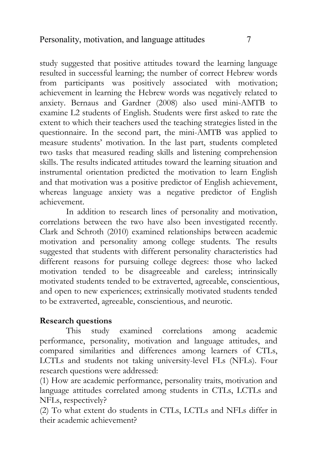study suggested that positive attitudes toward the learning language resulted in successful learning; the number of correct Hebrew words from participants was positively associated with motivation; achievement in learning the Hebrew words was negatively related to anxiety. Bernaus and Gardner (2008) also used mini-AMTB to examine L2 students of English. Students were first asked to rate the extent to which their teachers used the teaching strategies listed in the questionnaire. In the second part, the mini-AMTB was applied to measure students' motivation. In the last part, students completed two tasks that measured reading skills and listening comprehension skills. The results indicated attitudes toward the learning situation and instrumental orientation predicted the motivation to learn English and that motivation was a positive predictor of English achievement, whereas language anxiety was a negative predictor of English achievement.

In addition to research lines of personality and motivation, correlations between the two have also been investigated recently. Clark and Schroth (2010) examined relationships between academic motivation and personality among college students. The results suggested that students with different personality characteristics had different reasons for pursuing college degrees: those who lacked motivation tended to be disagreeable and careless; intrinsically motivated students tended to be extraverted, agreeable, conscientious, and open to new experiences; extrinsically motivated students tended to be extraverted, agreeable, conscientious, and neurotic.

# **Research questions**

This study examined correlations among academic performance, personality, motivation and language attitudes, and compared similarities and differences among learners of CTLs, LCTLs and students not taking university-level FLs (NFLs). Four research questions were addressed:

(1) How are academic performance, personality traits, motivation and language attitudes correlated among students in CTLs, LCTLs and NFLs, respectively?

(2) To what extent do students in CTLs, LCTLs and NFLs differ in their academic achievement?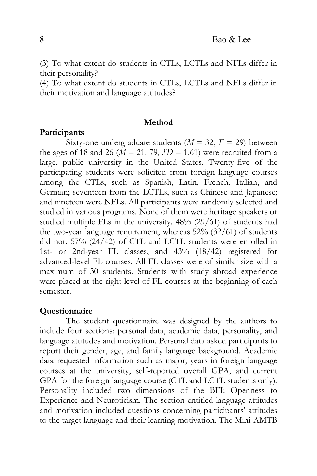(3) To what extent do students in CTLs, LCTLs and NFLs differ in their personality?

(4) To what extent do students in CTLs, LCTLs and NFLs differ in their motivation and language attitudes?

### **Method**

### **Participants**

Sixty-one undergraduate students  $(M = 32, F = 29)$  between the ages of 18 and 26 ( $\overline{M}$  = 21. 79,  $\overline{SD}$  = 1.61) were recruited from a large, public university in the United States. Twenty-five of the participating students were solicited from foreign language courses among the CTLs, such as Spanish, Latin, French, Italian, and German; seventeen from the LCTLs, such as Chinese and Japanese; and nineteen were NFLs. All participants were randomly selected and studied in various programs. None of them were heritage speakers or studied multiple FLs in the university. 48% (29/61) of students had the two-year language requirement, whereas 52% (32/61) of students did not. 57% (24/42) of CTL and LCTL students were enrolled in 1st- or 2nd-year FL classes, and 43% (18/42) registered for advanced-level FL courses. All FL classes were of similar size with a maximum of 30 students. Students with study abroad experience were placed at the right level of FL courses at the beginning of each semester.

#### **Questionnaire**

The student questionnaire was designed by the authors to include four sections: personal data, academic data, personality, and language attitudes and motivation. Personal data asked participants to report their gender, age, and family language background. Academic data requested information such as major, years in foreign language courses at the university, self-reported overall GPA, and current GPA for the foreign language course (CTL and LCTL students only). Personality included two dimensions of the BFI: Openness to Experience and Neuroticism. The section entitled language attitudes and motivation included questions concerning participants' attitudes to the target language and their learning motivation. The Mini-AMTB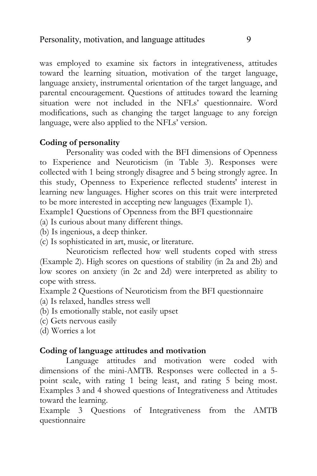was employed to examine six factors in integrativeness, attitudes toward the learning situation, motivation of the target language, language anxiety, instrumental orientation of the target language, and parental encouragement. Questions of attitudes toward the learning situation were not included in the NFLs' questionnaire. Word modifications, such as changing the target language to any foreign language, were also applied to the NFLs' version.

## **Coding of personality**

Personality was coded with the BFI dimensions of Openness to Experience and Neuroticism (in Table 3). Responses were collected with 1 being strongly disagree and 5 being strongly agree. In this study, Openness to Experience reflected students' interest in learning new languages. Higher scores on this trait were interpreted to be more interested in accepting new languages (Example 1).

Example1 Questions of Openness from the BFI questionnaire

(a) Is curious about many different things.

(b) Is ingenious, a deep thinker.

(c) Is sophisticated in art, music, or literature.

Neuroticism reflected how well students coped with stress (Example 2). High scores on questions of stability (in 2a and 2b) and low scores on anxiety (in 2c and 2d) were interpreted as ability to cope with stress.

Example 2 Questions of Neuroticism from the BFI questionnaire

- (a) Is relaxed, handles stress well
- (b) Is emotionally stable, not easily upset
- (c) Gets nervous easily
- (d) Worries a lot

## **Coding of language attitudes and motivation**

Language attitudes and motivation were coded with dimensions of the mini-AMTB. Responses were collected in a 5 point scale, with rating 1 being least, and rating 5 being most. Examples 3 and 4 showed questions of Integrativeness and Attitudes toward the learning.

Example 3 Questions of Integrativeness from the AMTB questionnaire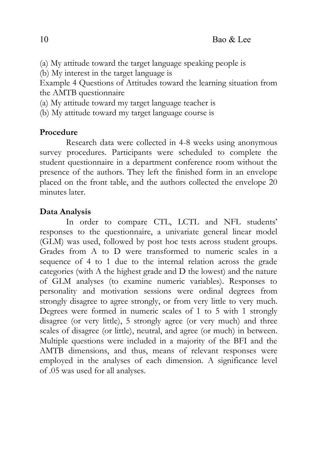(a) My attitude toward the target language speaking people is

(b) My interest in the target language is

Example 4 Questions of Attitudes toward the learning situation from the AMTB questionnaire

- (a) My attitude toward my target language teacher is
- (b) My attitude toward my target language course is

# **Procedure**

Research data were collected in 4-8 weeks using anonymous survey procedures. Participants were scheduled to complete the student questionnaire in a department conference room without the presence of the authors. They left the finished form in an envelope placed on the front table, and the authors collected the envelope 20 minutes later.

# **Data Analysis**

In order to compare CTL, LCTL and NFL students' responses to the questionnaire, a univariate general linear model (GLM) was used, followed by post hoc tests across student groups. Grades from A to D were transformed to numeric scales in a sequence of 4 to 1 due to the internal relation across the grade categories (with A the highest grade and D the lowest) and the nature of GLM analyses (to examine numeric variables). Responses to personality and motivation sessions were ordinal degrees from strongly disagree to agree strongly, or from very little to very much. Degrees were formed in numeric scales of 1 to 5 with 1 strongly disagree (or very little), 5 strongly agree (or very much) and three scales of disagree (or little), neutral, and agree (or much) in between. Multiple questions were included in a majority of the BFI and the AMTB dimensions, and thus, means of relevant responses were employed in the analyses of each dimension. A significance level of .05 was used for all analyses.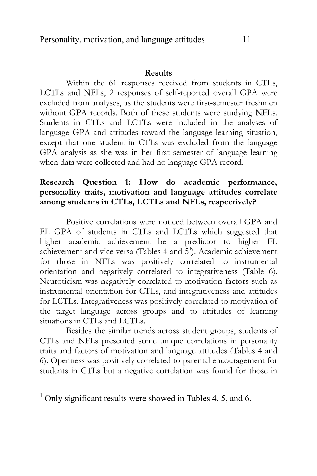#### **Results**

Within the 61 responses received from students in CTLs, LCTLs and NFLs, 2 responses of self-reported overall GPA were excluded from analyses, as the students were first-semester freshmen without GPA records. Both of these students were studying NFLs. Students in CTLs and LCTLs were included in the analyses of language GPA and attitudes toward the language learning situation, except that one student in CTLs was excluded from the language GPA analysis as she was in her first semester of language learning when data were collected and had no language GPA record.

# **Research Question 1: How do academic performance, personality traits, motivation and language attitudes correlate among students in CTLs, LCTLs and NFLs, respectively?**

Positive correlations were noticed between overall GPA and FL GPA of students in CTLs and LCTLs which suggested that higher academic achievement be a predictor to higher FL achievement and vice versa (Tables 4 and 5<sup>1</sup>). Academic achievement for those in NFLs was positively correlated to instrumental orientation and negatively correlated to integrativeness (Table 6). Neuroticism was negatively correlated to motivation factors such as instrumental orientation for CTLs, and integrativeness and attitudes for LCTLs. Integrativeness was positively correlated to motivation of the target language across groups and to attitudes of learning situations in CTLs and LCTLs.

Besides the similar trends across student groups, students of CTLs and NFLs presented some unique correlations in personality traits and factors of motivation and language attitudes (Tables 4 and 6). Openness was positively correlated to parental encouragement for students in CTLs but a negative correlation was found for those in

 $\overline{a}$ 

 $1$  Only significant results were showed in Tables 4, 5, and 6.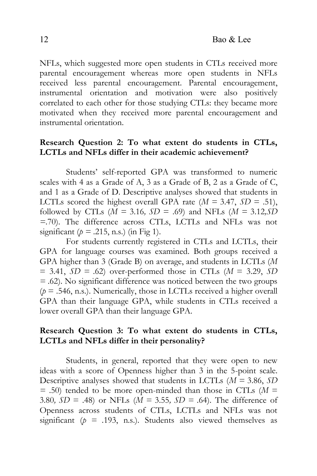NFLs, which suggested more open students in CTLs received more parental encouragement whereas more open students in NFLs received less parental encouragement. Parental encouragement, instrumental orientation and motivation were also positively correlated to each other for those studying CTLs: they became more motivated when they received more parental encouragement and instrumental orientation.

# **Research Question 2: To what extent do students in CTLs, LCTLs and NFLs differ in their academic achievement?**

Students' self-reported GPA was transformed to numeric scales with 4 as a Grade of A, 3 as a Grade of B, 2 as a Grade of C, and 1 as a Grade of D. Descriptive analyses showed that students in LCTLs scored the highest overall GPA rate  $(M = 3.47, SD = .51)$ , followed by CTLs (*M =* 3.16*, SD =* .69) and NFLs (*M =* 3.12*,SD =*.70). The difference across CTLs, LCTLs and NFLs was not significant ( $p = .215$ , n.s.) (in Fig 1).

For students currently registered in CTLs and LCTLs, their GPA for language courses was examined. Both groups received a GPA higher than 3 (Grade B) on average, and students in LCTLs (*M*   $= 3.41, SD = .62$  over-performed those in CTLs ( $M = 3.29, SD$ ) *=* .62). No significant difference was noticed between the two groups  $(p = .546, n.s.).$  Numerically, those in LCTLs received a higher overall GPA than their language GPA, while students in CTLs received a lower overall GPA than their language GPA.

## **Research Question 3: To what extent do students in CTLs, LCTLs and NFLs differ in their personality?**

Students, in general, reported that they were open to new ideas with a score of Openness higher than 3 in the 5-point scale. Descriptive analyses showed that students in LCTLs (*M =* 3.86, *SD =* .50) tended to be more open-minded than those in CTLs (*M =*  3.80*, SD =* .48) or NFLs (*M =* 3.55*, SD =* .64). The difference of Openness across students of CTLs, LCTLs and NFLs was not significant ( $p = .193$ , n.s.). Students also viewed themselves as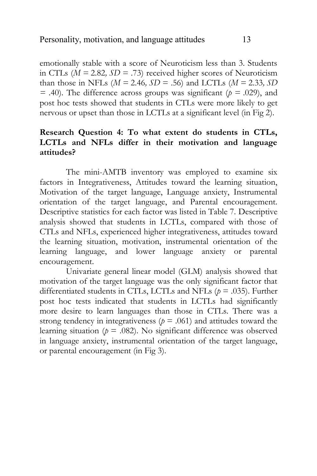emotionally stable with a score of Neuroticism less than 3. Students in CTLs (*M =* 2.82*, SD =* .73) received higher scores of Neuroticism than those in NFLs  $(M = 2.46, SD = .56)$  and LCTLs  $(M = 2.33, SD$  $=$  .40). The difference across groups was significant ( $p = .029$ ), and post hoc tests showed that students in CTLs were more likely to get nervous or upset than those in LCTLs at a significant level (in Fig 2).

# **Research Question 4: To what extent do students in CTLs, LCTLs and NFLs differ in their motivation and language attitudes?**

The mini-AMTB inventory was employed to examine six factors in Integrativeness, Attitudes toward the learning situation, Motivation of the target language, Language anxiety, Instrumental orientation of the target language, and Parental encouragement. Descriptive statistics for each factor was listed in Table 7. Descriptive analysis showed that students in LCTLs, compared with those of CTLs and NFLs, experienced higher integrativeness, attitudes toward the learning situation, motivation, instrumental orientation of the learning language, and lower language anxiety or parental encouragement.

Univariate general linear model (GLM) analysis showed that motivation of the target language was the only significant factor that differentiated students in CTLs, LCTLs and NFLs (*p* = .035). Further post hoc tests indicated that students in LCTLs had significantly more desire to learn languages than those in CTLs. There was a strong tendency in integrativeness ( $p = .061$ ) and attitudes toward the learning situation ( $p = .082$ ). No significant difference was observed in language anxiety, instrumental orientation of the target language, or parental encouragement (in Fig 3).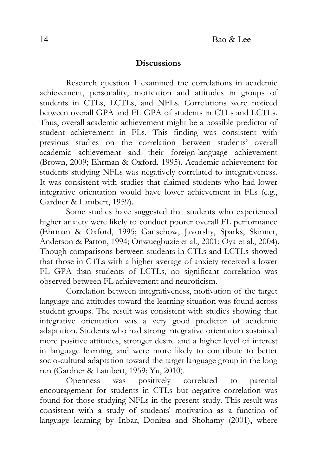## **Discussions**

Research question 1 examined the correlations in academic achievement, personality, motivation and attitudes in groups of students in CTLs, LCTLs, and NFLs. Correlations were noticed between overall GPA and FL GPA of students in CTLs and LCTLs. Thus, overall academic achievement might be a possible predictor of student achievement in FLs. This finding was consistent with previous studies on the correlation between students' overall academic achievement and their foreign-language achievement (Brown, 2009; Ehrman & Oxford, 1995). Academic achievement for students studying NFLs was negatively correlated to integrativeness. It was consistent with studies that claimed students who had lower integrative orientation would have lower achievement in FLs (e.g., Gardner & Lambert, 1959).

Some studies have suggested that students who experienced higher anxiety were likely to conduct poorer overall FL performance (Ehrman & Oxford, 1995; Ganschow, Javorshy, Sparks, Skinner, Anderson & Patton, 1994; Onwuegbuzie et al., 2001; Oya et al., 2004). Though comparisons between students in CTLs and LCTLs showed that those in CTLs with a higher average of anxiety received a lower FL GPA than students of LCTLs, no significant correlation was observed between FL achievement and neuroticism.

Correlation between integrativeness, motivation of the target language and attitudes toward the learning situation was found across student groups. The result was consistent with studies showing that integrative orientation was a very good predictor of academic adaptation. Students who had strong integrative orientation sustained more positive attitudes, stronger desire and a higher level of interest in language learning, and were more likely to contribute to better socio-cultural adaptation toward the target language group in the long run (Gardner & Lambert, 1959; Yu, 2010).

Openness was positively correlated to parental encouragement for students in CTLs but negative correlation was found for those studying NFLs in the present study. This result was consistent with a study of students' motivation as a function of language learning by Inbar, Donitsa and Shohamy (2001), where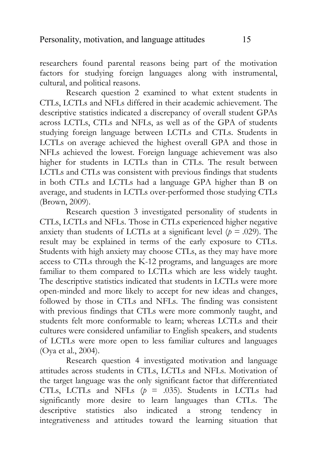researchers found parental reasons being part of the motivation factors for studying foreign languages along with instrumental, cultural, and political reasons.

Research question 2 examined to what extent students in CTLs, LCTLs and NFLs differed in their academic achievement. The descriptive statistics indicated a discrepancy of overall student GPAs across LCTLs, CTLs and NFLs, as well as of the GPA of students studying foreign language between LCTLs and CTLs. Students in LCTLs on average achieved the highest overall GPA and those in NFLs achieved the lowest. Foreign language achievement was also higher for students in LCTLs than in CTLs. The result between LCTLs and CTLs was consistent with previous findings that students in both CTLs and LCTLs had a language GPA higher than B on average, and students in LCTLs over-performed those studying CTLs (Brown, 2009).

Research question 3 investigated personality of students in CTLs, LCTLs and NFLs. Those in CTLs experienced higher negative anxiety than students of LCTLs at a significant level ( $p = .029$ ). The result may be explained in terms of the early exposure to CTLs. Students with high anxiety may choose CTLs, as they may have more access to CTLs through the K-12 programs, and languages are more familiar to them compared to LCTLs which are less widely taught. The descriptive statistics indicated that students in LCTLs were more open-minded and more likely to accept for new ideas and changes, followed by those in CTLs and NFLs. The finding was consistent with previous findings that CTLs were more commonly taught, and students felt more conformable to learn; whereas LCTLs and their cultures were considered unfamiliar to English speakers, and students of LCTLs were more open to less familiar cultures and languages (Oya et al., 2004).

Research question 4 investigated motivation and language attitudes across students in CTLs, LCTLs and NFLs. Motivation of the target language was the only significant factor that differentiated CTLs, LCTLs and NFLs  $(p = .035)$ . Students in LCTLs had significantly more desire to learn languages than CTLs. The descriptive statistics also indicated a strong tendency in integrativeness and attitudes toward the learning situation that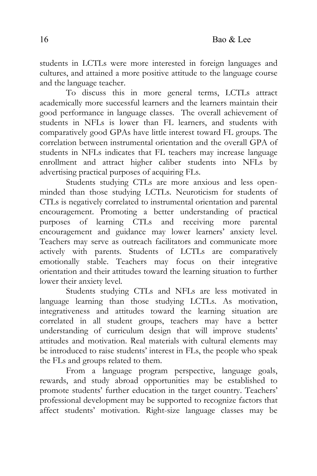students in LCTLs were more interested in foreign languages and cultures, and attained a more positive attitude to the language course and the language teacher.

To discuss this in more general terms, LCTLs attract academically more successful learners and the learners maintain their good performance in language classes. The overall achievement of students in NFLs is lower than FL learners, and students with comparatively good GPAs have little interest toward FL groups. The correlation between instrumental orientation and the overall GPA of students in NFLs indicates that FL teachers may increase language enrollment and attract higher caliber students into NFLs by advertising practical purposes of acquiring FLs.

Students studying CTLs are more anxious and less openminded than those studying LCTLs. Neuroticism for students of CTLs is negatively correlated to instrumental orientation and parental encouragement. Promoting a better understanding of practical purposes of learning CTLs and receiving more parental encouragement and guidance may lower learners' anxiety level. Teachers may serve as outreach facilitators and communicate more actively with parents. Students of LCTLs are comparatively emotionally stable. Teachers may focus on their integrative orientation and their attitudes toward the learning situation to further lower their anxiety level.

Students studying CTLs and NFLs are less motivated in language learning than those studying LCTLs. As motivation, integrativeness and attitudes toward the learning situation are correlated in all student groups, teachers may have a better understanding of curriculum design that will improve students' attitudes and motivation. Real materials with cultural elements may be introduced to raise students' interest in FLs, the people who speak the FLs and groups related to them.

From a language program perspective, language goals, rewards, and study abroad opportunities may be established to promote students' further education in the target country. Teachers' professional development may be supported to recognize factors that affect students' motivation. Right-size language classes may be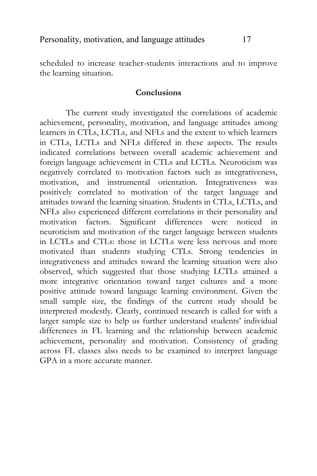scheduled to increase teacher-students interactions and to improve the learning situation.

### **Conclusions**

The current study investigated the correlations of academic achievement, personality, motivation, and language attitudes among learners in CTLs, LCTLs, and NFLs and the extent to which learners in CTLs, LCTLs and NFLs differed in these aspects. The results indicated correlations between overall academic achievement and foreign language achievement in CTLs and LCTLs. Neuroticism was negatively correlated to motivation factors such as integrativeness, motivation, and instrumental orientation. Integrativeness was positively correlated to motivation of the target language and attitudes toward the learning situation. Students in CTLs, LCTLs, and NFLs also experienced different correlations in their personality and motivation factors. Significant differences were noticed in neuroticism and motivation of the target language between students in LCTLs and CTLs: those in LCTLs were less nervous and more motivated than students studying CTLs. Strong tendencies in integrativeness and attitudes toward the learning situation were also observed, which suggested that those studying LCTLs attained a more integrative orientation toward target cultures and a more positive attitude toward language learning environment. Given the small sample size, the findings of the current study should be interpreted modestly. Clearly, continued research is called for with a larger sample size to help us further understand students' individual differences in FL learning and the relationship between academic achievement, personality and motivation. Consistency of grading across FL classes also needs to be examined to interpret language GPA in a more accurate manner.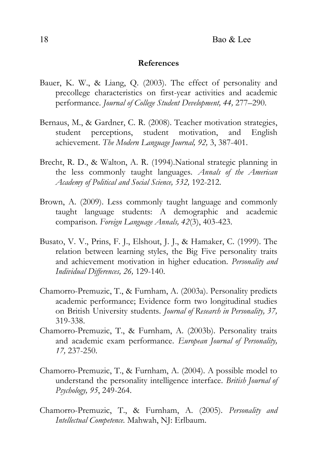#### **References**

- Bauer, K. W., & Liang, Q. (2003). The effect of personality and precollege characteristics on first-year activities and academic performance. *Journal of College Student Development, 44,* 277–290.
- Bernaus, M., & Gardner, C. R. (2008). Teacher motivation strategies, student perceptions, student motivation, and English achievement. *The Modern Language Journal, 92,* 3, 387-401.
- Brecht, R. D., & Walton, A. R. (1994).National strategic planning in the less commonly taught languages. *Annals of the American Academy of Political and Social Science, 532,* 192-212.
- Brown, A. (2009). Less commonly taught language and commonly taught language students: A demographic and academic comparison. *Foreign Language Annals, 42*(3), 403-423.
- Busato, V. V., Prins, F. J., Elshout, J. J., & Hamaker, C. (1999). The relation between learning styles, the Big Five personality traits and achievement motivation in higher education. *Personality and Individual Differences, 26,* 129-140.
- Chamorro-Premuzic, T., & Furnham, A. (2003a). Personality predicts academic performance; Evidence form two longitudinal studies on British University students. *Journal of Research in Personality, 37,* 319-338.
- Chamorro-Premuzic, T., & Furnham, A. (2003b). Personality traits and academic exam performance. *European Journal of Personality, 17,* 237-250.
- Chamorro-Premuzic, T., & Furnham, A. (2004). A possible model to understand the personality intelligence interface. *British Journal of Psychology, 95*, 249-264.
- Chamorro-Premuzic, T., & Furnham, A. (2005). *Personality and Intellectual Competence.* Mahwah, NJ: Erlbaum.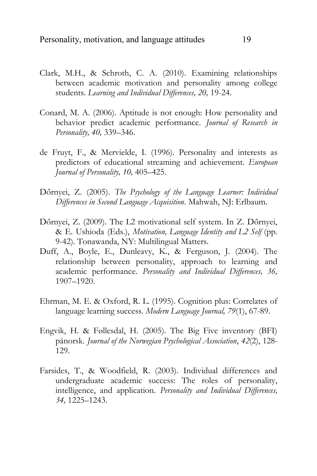- Clark, M.H., & Schroth, C. A. (2010). Examining relationships between academic motivation and personality among college students. *Learning and Individual Differences, 20,* 19-24.
- Conard, M. A. (2006). Aptitude is not enough: How personality and behavior predict academic performance. *Journal of Research in Personality, 40,* 339–346.
- de Fruyt, F., & Mervielde, I. (1996). Personality and interests as predictors of educational streaming and achievement. *European Journal of Personality, 10,* 405–425.
- Dőrnyei, Z. (2005). *The Psychology of the Language Learner: Individual Differences in Second Language Acquisition*. Mahwah, NJ: Erlbaum.
- Dőrnyei, Z. (2009). The L2 motivational self system. In Z. Dőrnyei, & E. Ushioda (Eds.), *Motivation, Language Identity and L2 Self* (pp. 9-42). Tonawanda, NY: Multilingual Matters.
- Duff, A., Boyle, E., Dunleavy, K., & Ferguson, J. (2004). The relationship between personality, approach to learning and academic performance. *Personality and Individual Differences, 36,* 1907–1920.
- Ehrman, M. E. & Oxford, R. L. (1995). Cognition plus: Correlates of language learning success. *Modern Language Journal, 79*(1), 67-89.
- Engvik, H. & Føllesdal, H. (2005). The Big Five inventory (BFI) pånorsk. *Journal of the Norwegian Psychological Association*, *42*(2), 128- 129.
- Farsides, T., & Woodfield, R. (2003). Individual differences and undergraduate academic success: The roles of personality, intelligence, and application. *Personality and Individual Differences, 34,* 1225–1243.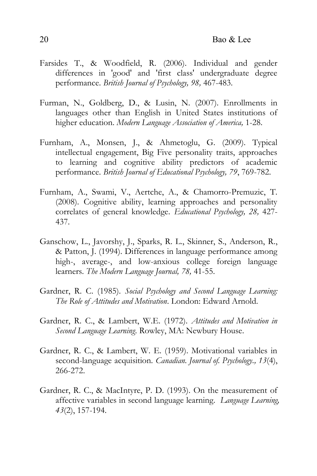- Farsides T., & Woodfield, R. (2006). Individual and gender differences in 'good' and 'first class' undergraduate degree performance. *British Journal of Psychology, 98,* 467-483.
- Furman, N., Goldberg, D., & Lusin, N. (2007). Enrollments in languages other than English in United States institutions of higher education. *Modern Language Association of America,* 1-28.
- Furnham, A., Monsen, J., & Ahmetoglu, G. (2009). Typical intellectual engagement, Big Five personality traits, approaches to learning and cognitive ability predictors of academic performance. *British Journal of Educational Psychology, 79*, 769-782.
- Furnham, A., Swami, V., Aertche, A., & Chamorro-Premuzic, T. (2008). Cognitive ability, learning approaches and personality correlates of general knowledge. *Educational Psychology, 28,* 427- 437.
- Ganschow, L., Javorshy, J., Sparks, R. L., Skinner, S., Anderson, R., & Patton, J. (1994). Differences in language performance among high-, average-, and low-anxious college foreign language learners. *The Modern Language Journal, 78,* 41-55.
- Gardner, R. C. (1985). *Social Psychology and Second Language Learning: The Role of Attitudes and Motivation*. London: Edward Arnold.
- Gardner, R. C., & Lambert, W.E. (1972). *Attitudes and Motivation in Second Language Learning*. Rowley, MA: Newbury House.
- Gardner, R. C., & Lambert, W. E. (1959). Motivational variables in second-language acquisition. *Canadian. Journal of. Psychology., 13*(4), 266-272.
- Gardner, R. C., & MacIntyre, P. D. (1993). On the measurement of affective variables in second language learning. *Language Learning, 43*(2), 157-194.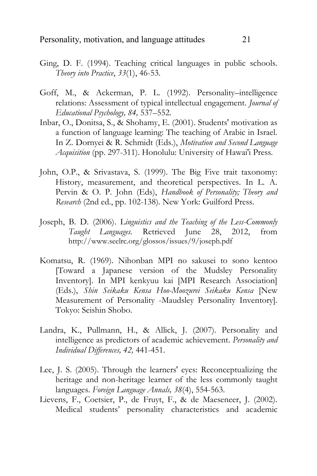- Ging, D. F. (1994). Teaching critical languages in public schools. *Theory into Practice*, *33*(1), 46-53.
- Goff, M., & Ackerman, P. L. (1992). Personality–intelligence relations: Assessment of typical intellectual engagement. *Journal of Educational Psychology, 84,* 537–552.
- Inbar, O., Donitsa, S., & Shohamy, E. (2001). Students' motivation as a function of language learning: The teaching of Arabic in Israel. In Z. Dornyei & R. Schmidt (Eds.), *Motivation and Second Language Acquisition* (pp. 297-311). Honolulu: University of Hawai'i Press.
- John, O.P., & Srivastava, S. (1999). The Big Five trait taxonomy: History, measurement, and theoretical perspectives. In L. A. Pervin & O. P. John (Eds), *Handbook of Personality; Theory and Research* (2nd ed., pp. 102-138)*.* New York: Guilford Press.
- Joseph, B. D. (2006). L*inguistics and the Teaching of the Less-Commonly Taught Languages.* Retrieved June 28, 2012, from <http://www.seelrc.org/glossos/issues/9/joseph.pdf>
- Komatsu, R. (1969). Nihonban MPI no sakusei to sono kentoo [Toward a Japanese version of the Mudsley Personality Inventory]. In MPI kenkyuu kai [MPI Research Association] (Eds.), *Shin Seikaku Kensa Hoo-Moozurei Seikaku Kensa* [New Measurement of Personality -Maudsley Personality Inventory]. Tokyo: Seishin Shobo.
- Landra, K., Pullmann, H., & Allick, J. (2007). Personality and intelligence as predictors of academic achievement. *Personality and Individual Differences, 42,* 441-451.
- Lee, J. S. (2005). Through the learners' eyes: Reconceptualizing the heritage and non-heritage learner of the less commonly taught languages. *Foreign Language Annals, 38*(4), 554-563.
- Lievens, F., Coetsier, P., de Fruyt, F., & de Maeseneer, J. (2002). Medical students' personality characteristics and academic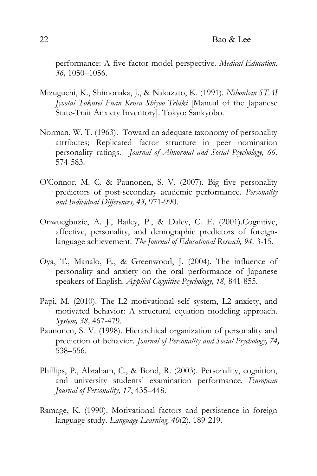performance: A five-factor model perspective. *Medical Education, 36,* 1050–1056.

- Mizuguchi, K., Shimonaka, J., & Nakazato, K. (1991). *Nihonban STAI Jyootai Tokusei Fuan Kensa Shiyoo Tebiki* [Manual of the Japanese State-Trait Anxiety Inventory]. Tokyo: Sankyobo.
- Norman, W. T. (1963). Toward an adequate taxonomy of personality attributes; Replicated factor structure in peer nomination personality ratings. *Journal of Abnormal and Social Psychology, 66,*  574-583.
- O'Connor, M. C. & Paunonen, S. V. (2007). Big five personality predictors of post-secondary academic performance. *Personality and Individual Differences, 43,* 971-990.
- Onwuegbuzie, A. J., Bailey, P., & Daley, C. E. (2001).Cognitive, affective, personality, and demographic predictors of foreignlanguage achievement. *The Journal of Educational Reseach, 94,* 3-15.
- Oya, T., Manalo, E., & Greenwood, J. (2004). The influence of personality and anxiety on the oral performance of Japanese speakers of English. *Applied Cognitive Psychology, 18,* 841-855.
- Papi, M. (2010). The L2 motivational self system, L2 anxiety, and motivated behavior: A structural equation modeling approach. *System, 38,* 467-479.
- Paunonen, S. V. (1998). Hierarchical organization of personality and prediction of behavior. *Journal of Personality and Social Psychology, 74,* 538–556.
- Phillips, P., Abraham, C., & Bond, R. (2003). Personality, cognition, and university students' examination performance. *European Journal of Personality, 17*, 435–448.
- Ramage, K. (1990). Motivational factors and persistence in foreign language study. *Language Learning, 40*(2), 189-219.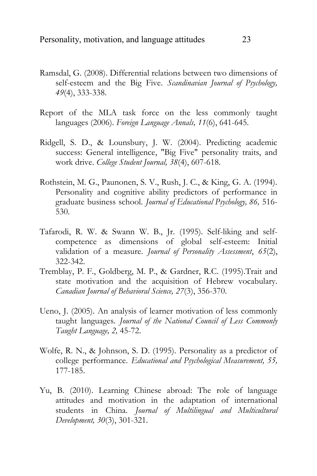- Ramsdal, G. (2008). Differential relations between two dimensions of self-esteem and the Big Five. *Scandinavian Journal of Psychology, 49*(4), 333-338.
- Report of the MLA task force on the less commonly taught languages (2006). *Foreign Language Annals, 11*(6), 641-645.
- Ridgell, S. D., & Lounsbury, J. W. (2004). Predicting academic success: General intelligence, "Big Five" personality traits, and work drive. *College Student Journal, 38*(4), 607-618.
- Rothstein, M. G., Paunonen, S. V., Rush, J. C., & King, G. A. (1994). Personality and cognitive ability predictors of performance in graduate business school. *Journal of Educational Psychology, 86,* 516- 530.
- Tafarodi, R. W. & Swann W. B., Jr. (1995). Self-liking and selfcompetence as dimensions of global self-esteem: Initial validation of a measure. *Journal of Personality Assessment*, *65*(2), 322-342.
- Tremblay, P. F., Goldberg, M. P., & Gardner, R.C. (1995).Trait and state motivation and the acquisition of Hebrew vocabulary. *Canadian Journal of Behavioral Science, 27*(3), 356-370.
- Ueno, J. (2005). An analysis of learner motivation of less commonly taught languages. *Journal of the National Council of Less Commonly Taught Language, 2,* 45-72.
- Wolfe, R. N., & Johnson, S. D. (1995). Personality as a predictor of college performance. *Educational and Psychological Measurement, 55,* 177-185.
- Yu, B. (2010). Learning Chinese abroad: The role of language attitudes and motivation in the adaptation of international students in China. *Journal of Multilingual and Multicultural Development, 30*(3), 301-321.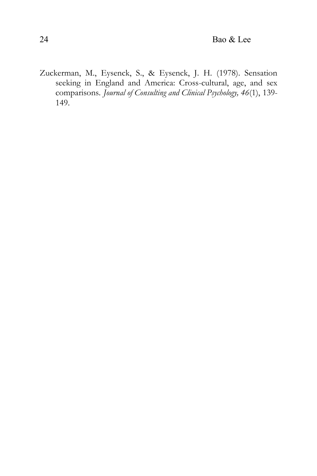Zuckerman, M., Eysenck, S., & Eysenck, J. H. (1978). Sensation seeking in England and America: Cross-cultural, age, and sex comparisons. *Journal of Consulting and Clinical Psychology, 46*(1), 139- 149.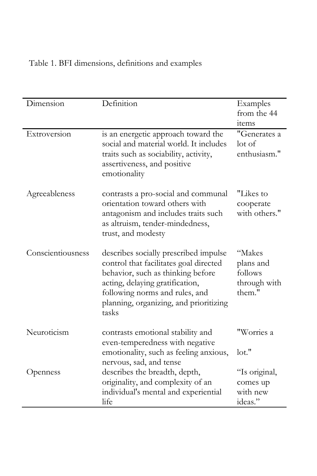| Dimension         | Definition                                                                                                                                                                                                                                   | Examples<br>from the 44<br>items                         |
|-------------------|----------------------------------------------------------------------------------------------------------------------------------------------------------------------------------------------------------------------------------------------|----------------------------------------------------------|
| Extroversion      | is an energetic approach toward the<br>social and material world. It includes<br>traits such as sociability, activity,<br>assertiveness, and positive<br>emotionality                                                                        | "Generates a<br>lot of<br>enthusiasm."                   |
| Agreeableness     | contrasts a pro-social and communal<br>orientation toward others with<br>antagonism and includes traits such<br>as altruism, tender-mindedness,<br>trust, and modesty                                                                        | "Likes to<br>cooperate<br>with others."                  |
| Conscientiousness | describes socially prescribed impulse<br>control that facilitates goal directed<br>behavior, such as thinking before<br>acting, delaying gratification,<br>following norms and rules, and<br>planning, organizing, and prioritizing<br>tasks | "Makes<br>plans and<br>follows<br>through with<br>them." |
| Neuroticism       | contrasts emotional stability and<br>even-temperedness with negative<br>emotionality, such as feeling anxious,                                                                                                                               | "Worries a<br>lot."                                      |
| Openness          | nervous, sad, and tense<br>describes the breadth, depth,<br>originality, and complexity of an<br>individual's mental and experiential<br>life                                                                                                | "Is original,<br>comes up<br>with new<br>ideas."         |

Table 1. BFI dimensions, definitions and examples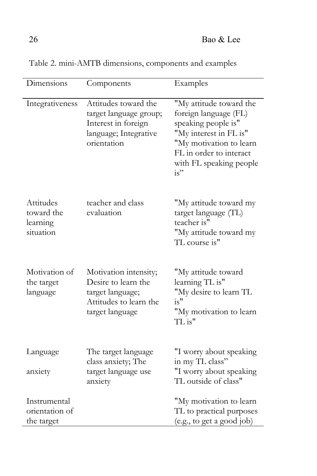| Dimensions                                       | Components                                                                                                    | Examples                                                                                                                                                                                  |
|--------------------------------------------------|---------------------------------------------------------------------------------------------------------------|-------------------------------------------------------------------------------------------------------------------------------------------------------------------------------------------|
| Integrativeness                                  | Attitudes toward the<br>target language group;<br>Interest in foreign<br>language; Integrative<br>orientation | "My attitude toward the<br>foreign language (FL)<br>speaking people is"<br>"My interest in FL is"<br>"My motivation to learn<br>FL in order to interact<br>with FL speaking people<br>is" |
| Attitudes<br>toward the<br>learning<br>situation | teacher and class<br>evaluation                                                                               | "My attitude toward my<br>target language (TL)<br>teacher is"<br>"My attitude toward my<br>TL course is"                                                                                  |
| Motivation of<br>the target<br>language          | Motivation intensity;<br>Desire to learn the<br>target language;<br>Attitudes to learn the<br>target language | "My attitude toward<br>learning TL is"<br>"My desire to learn TL<br>is''<br>"My motivation to learn<br>TL is"                                                                             |
| Language<br>anxiety                              | The target language<br>class anxiety; The<br>target language use<br>anxiety                                   | "I worry about speaking<br>in my TL class"<br>"I worry about speaking<br>TL outside of class"                                                                                             |
| Instrumental<br>orientation of<br>the target     |                                                                                                               | "My motivation to learn<br>TL to practical purposes<br>(e.g., to get a good job)                                                                                                          |

Table 2. mini-AMTB dimensions, components and examples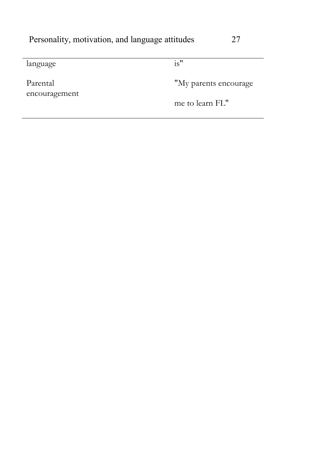| ۰. |
|----|
|    |

language is"

Parental encouragement

"My parents encourage

me to learn FL"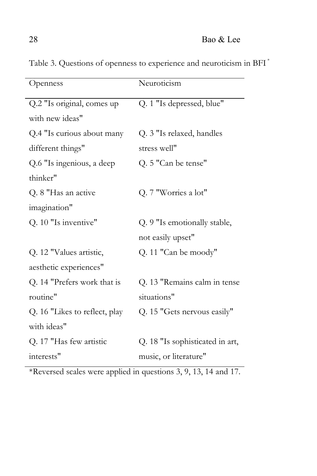| Openness                      | Neuroticism                     |
|-------------------------------|---------------------------------|
| Q.2 "Is original, comes up    | Q. 1 "Is depressed, blue"       |
| with new ideas"               |                                 |
| Q.4 "Is curious about many    | Q. 3 "Is relaxed, handles       |
| different things"             | stress well"                    |
| Q.6 "Is ingenious, a deep     | Q. 5 "Can be tense"             |
| thinker"                      |                                 |
| Q. 8 "Has an active           | Q. 7 "Worries a lot"            |
| imagination"                  |                                 |
| Q. 10 "Is inventive"          | Q. 9 "Is emotionally stable,    |
|                               | not easily upset"               |
| Q. 12 "Values artistic,       | Q. 11 "Can be moody"            |
| aesthetic experiences"        |                                 |
| Q. 14 "Prefers work that is   | Q. 13 "Remains calm in tense    |
| routine"                      | situations"                     |
| Q. 16 "Likes to reflect, play | Q. 15 "Gets nervous easily"     |
| with ideas"                   |                                 |
| Q. 17 "Has few artistic       | Q. 18 "Is sophisticated in art, |
| interests"                    | music, or literature"           |

Table 3. Questions of openness to experience and neuroticism in BFI \*

\*Reversed scales were applied in questions 3, 9, 13, 14 and 17.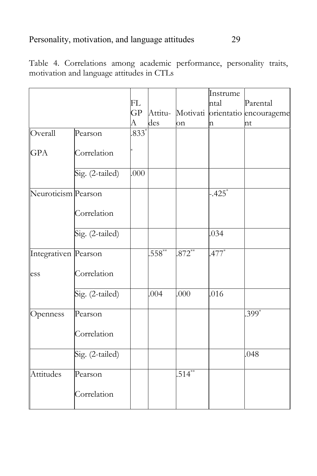Table 4. Correlations among academic performance, personality traits, motivation and language attitudes in CTLs

|                      |                 |         |            |           | Instrume             |                                         |
|----------------------|-----------------|---------|------------|-----------|----------------------|-----------------------------------------|
|                      |                 | FL      |            |           | ntal                 | Parental                                |
|                      |                 | GP      |            |           |                      | Attitu- Motivati orientatio encourageme |
|                      |                 | А       | des        | on        | n                    | nt                                      |
| Overall              | Pearson         | $.833*$ |            |           |                      |                                         |
|                      |                 |         |            |           |                      |                                         |
| <b>GPA</b>           | Correlation     |         |            |           |                      |                                         |
|                      | Sig. (2-tailed) | .000    |            |           |                      |                                         |
|                      |                 |         |            |           |                      |                                         |
| Neuroticism Pearson  |                 |         |            |           | $-.425$ <sup>*</sup> |                                         |
|                      | Correlation     |         |            |           |                      |                                         |
|                      | Sig. (2-tailed) |         |            |           | .034                 |                                         |
| Integrativen Pearson |                 |         | $558^{**}$ | $.872**$  | $.477$ <sup>*</sup>  |                                         |
| ess                  | Correlation     |         |            |           |                      |                                         |
|                      | Sig. (2-tailed) |         | .004       | .000      | .016                 |                                         |
| Openness             | Pearson         |         |            |           |                      | $399^*$                                 |
|                      | Correlation     |         |            |           |                      |                                         |
|                      | Sig. (2-tailed) |         |            |           |                      | .048                                    |
| Attitudes            | Pearson         |         |            | $.514***$ |                      |                                         |
|                      | Correlation     |         |            |           |                      |                                         |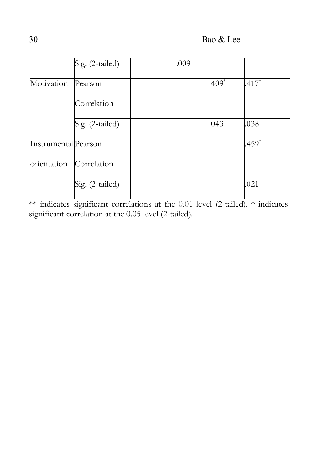|                     | Sig. (2-tailed) |  | .009 |         |                     |
|---------------------|-----------------|--|------|---------|---------------------|
| Motivation          | Pearson         |  |      | $.409*$ | $.417*$             |
|                     | Correlation     |  |      |         |                     |
|                     | Sig. (2-tailed) |  |      | .043    | .038                |
| InstrumentalPearson |                 |  |      |         | $.459$ <sup>*</sup> |
| orientation         | Correlation     |  |      |         |                     |
|                     | Sig. (2-tailed) |  |      |         | .021                |

\*\* indicates significant correlations at the 0.01 level (2-tailed). \* indicates significant correlation at the 0.05 level (2-tailed).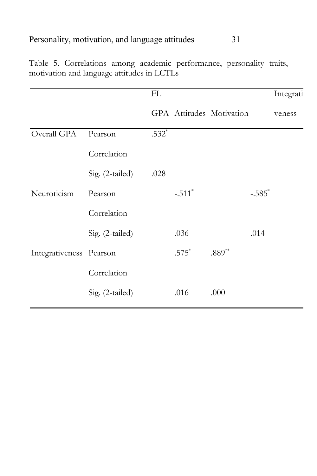|                         |                 | FL      |          |                          |                      | Integrati |
|-------------------------|-----------------|---------|----------|--------------------------|----------------------|-----------|
|                         |                 |         |          | GPA Attitudes Motivation |                      | veness    |
| Overall GPA             | Pearson         | $.532*$ |          |                          |                      |           |
|                         | Correlation     |         |          |                          |                      |           |
|                         | Sig. (2-tailed) | .028    |          |                          |                      |           |
| Neuroticism             | Pearson         |         | $-.511*$ |                          | $-.585$ <sup>*</sup> |           |
|                         | Correlation     |         |          |                          |                      |           |
|                         | Sig. (2-tailed) |         | .036     |                          | .014                 |           |
| Integrativeness Pearson |                 |         | $.575*$  | $.889**$                 |                      |           |
|                         | Correlation     |         |          |                          |                      |           |
|                         | Sig. (2-tailed) |         | .016     | .000                     |                      |           |

Table 5. Correlations among academic performance, personality traits, motivation and language attitudes in LCTLs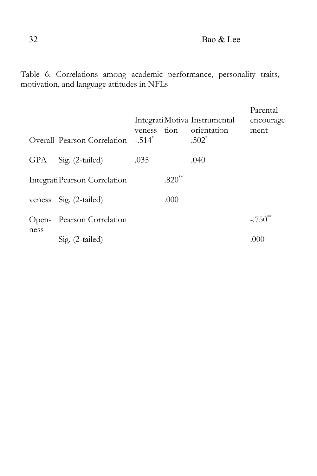Table 6. Correlations among academic performance, personality traits, motivation, and language attitudes in NFLs

|                 |                               |                      |          |                               | Parental     |
|-----------------|-------------------------------|----------------------|----------|-------------------------------|--------------|
|                 |                               |                      |          | Integrati Motiva Instrumental | encourage    |
|                 |                               | veness               | tion     | orientation                   | ment         |
|                 | Overall Pearson Correlation   | $-.514$ <sup>*</sup> |          | $.502^*$                      |              |
| GPA             | Sig. (2-tailed)               | .035                 |          | .040                          |              |
|                 | Integrati Pearson Correlation |                      | $.820**$ |                               |              |
|                 | veness Sig. (2-tailed)        |                      | .000     |                               |              |
| $Open-$<br>ness | Pearson Correlation           |                      |          |                               | $-.750^{**}$ |
|                 | Sig. (2-tailed)               |                      |          |                               | (000)        |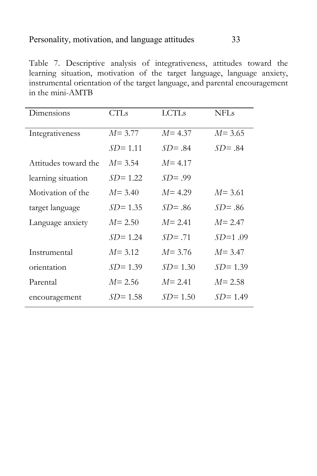Table 7. Descriptive analysis of integrativeness, attitudes toward the learning situation, motivation of the target language, language anxiety, instrumental orientation of the target language, and parental encouragement in the mini-AMTB

| Dimensions           | <b>CTLs</b> | <b>LCTLs</b> | <b>NFLs</b> |
|----------------------|-------------|--------------|-------------|
| Integrativeness      | $M = 3.77$  | $M = 4.37$   | $M = 3.65$  |
|                      | $SD = 1.11$ | $SD = .84$   | $SD = .84$  |
| Attitudes toward the | $M = 3.54$  | $M = 4.17$   |             |
| learning situation   | $SD = 1.22$ | $SD = .99$   |             |
| Motivation of the    | $M = 3.40$  | $M = 4.29$   | $M = 3.61$  |
| target language      | $SD = 1.35$ | $SD = .86$   | $SD = .86$  |
| Language anxiety     | $M = 2.50$  | $M = 2.41$   | $M = 2.47$  |
|                      | $SD = 1.24$ | $SD = .71$   | $SD=1.09$   |
| Instrumental         | $M = 3.12$  | $M = 3.76$   | $M = 3.47$  |
| orientation          | $SD = 1.39$ | $SD = 1.30$  | $SD = 1.39$ |
| Parental             | $M = 2.56$  | $M = 2.41$   | $M = 2.58$  |
| encouragement        | $SD = 1.58$ | $SD = 1.50$  | $SD = 1.49$ |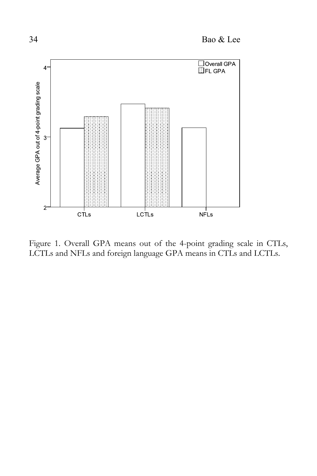

Figure 1. Overall GPA means out of the 4-point grading scale in CTLs, LCTLs and NFLs and foreign language GPA means in CTLs and LCTLs.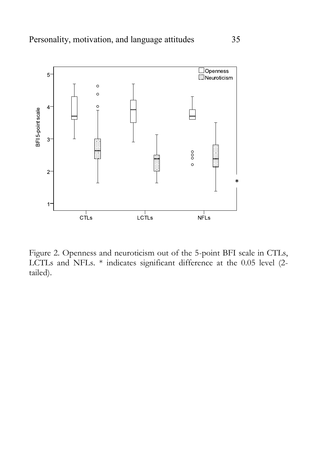

Figure 2. Openness and neuroticism out of the 5-point BFI scale in CTLs, LCTLs and NFLs. \* indicates significant difference at the 0.05 level (2 tailed).